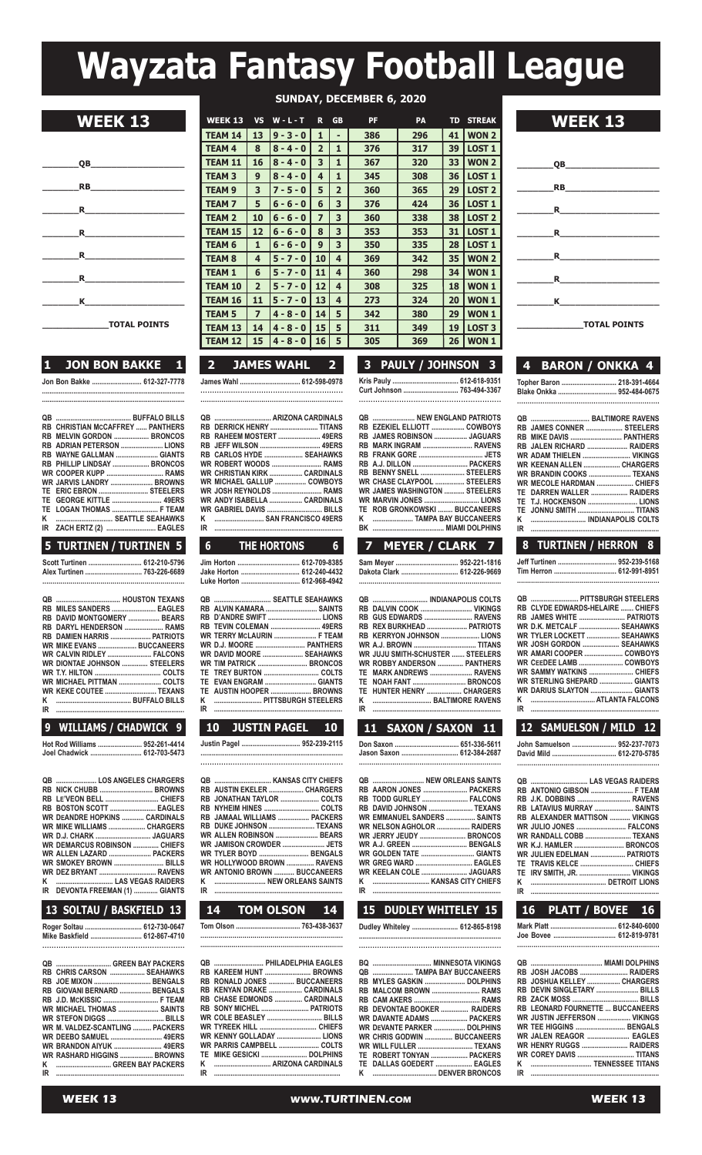# **Wayzata Fantasy Football League**

|                                                                                                                                                                                                                                | $\overline{OB}$                                                                                                                                                                                                                                                                                              |
|--------------------------------------------------------------------------------------------------------------------------------------------------------------------------------------------------------------------------------|--------------------------------------------------------------------------------------------------------------------------------------------------------------------------------------------------------------------------------------------------------------------------------------------------------------|
|                                                                                                                                                                                                                                |                                                                                                                                                                                                                                                                                                              |
|                                                                                                                                                                                                                                | $\mathbf R$ and $\mathbf R$ are set of $\mathbf R$ and $\mathbf R$ are set of $\mathbf R$ and $\mathbf R$ are set of $\mathbf R$ and $\mathbf R$ are set of $\mathbf R$ and $\mathbf R$ are set of $\mathbf R$ and $\mathbf R$ are set of $\mathbf R$ and $\mathbf R$ are set of $\mathbf R$ and $\mathbf R$ |
|                                                                                                                                                                                                                                | $\mathbf R$ and $\mathbf R$ and $\mathbf R$ are set of $\mathbf R$ and $\mathbf R$ are set of $\mathbf R$ and $\mathbf R$ are set of $\mathbf R$ and $\mathbf R$ are set of $\mathbf R$ and $\mathbf R$ are set of $\mathbf R$ and $\mathbf R$ are set of $\mathbf R$ and $\mathbf R$ are set of $\mathbf R$ |
|                                                                                                                                                                                                                                | $\mathbf R$ and $\mathbf R$ and $\mathbf R$ are set of $\mathbf R$ and $\mathbf R$ are set of $\mathbf R$ and $\mathbf R$ are set of $\mathbf R$ and $\mathbf R$ are set of $\mathbf R$ and $\mathbf R$ are set of $\mathbf R$ and $\mathbf R$ are set of $\mathbf R$ and $\mathbf R$ are set of $\mathbf R$ |
| R and the set of the set of the set of the set of the set of the set of the set of the set of the set of the set of the set of the set of the set of the set of the set of the set of the set of the set of the set of the set |                                                                                                                                                                                                                                                                                                              |
| Κ                                                                                                                                                                                                                              |                                                                                                                                                                                                                                                                                                              |
|                                                                                                                                                                                                                                | <b>TOTAL POINTS</b>                                                                                                                                                                                                                                                                                          |

|  | 1 JON BON BAKKE 1           |  |
|--|-----------------------------|--|
|  | Jon Bon Bakke  612-327-7778 |  |

**.............................................................................**

| <b>RB CHRISTIAN MCCAFFREY  PANTHERS</b> |  |
|-----------------------------------------|--|
| RB MELVIN GORDON  BRONCOS               |  |
| RB ADRIAN PETERSON  LIONS               |  |
| RB WAYNE GALLMAN  GIANTS                |  |
| RB PHILLIP LINDSAY  BRONCOS             |  |
| <b>WR COOPER KUPP  RAMS</b>             |  |
| WR JARVIS LANDRY  BROWNS                |  |
| TE ERIC EBRON  STEELERS                 |  |
| TE GEORGE KITTLE  49ERS                 |  |
| TE LOGAN THOMAS  F TEAM                 |  |
| K  SEATTLE SEAHAWKS                     |  |
| IR ZACH ERTZ (2)  EAGLES                |  |
| E THOTTNEN / THOTTNEN E                 |  |

#### **5 TURTINEN / TURTINEN 5**

| Scott Turtinen  612-210-5796 |  |
|------------------------------|--|
|                              |  |
|                              |  |

| RB MILES SANDERS  EAGLES         |  |
|----------------------------------|--|
| RB DAVID MONTGOMERY  BEARS       |  |
| RB DARYL HENDERSON  RAMS         |  |
| RB DAMIEN HARRIS  PATRIOTS       |  |
| <b>WR MIKE EVANS  BUCCANEERS</b> |  |
| <b>WR CALVIN RIDLEY  FALCONS</b> |  |
| WR DIONTAE JOHNSON  STEELERS     |  |
|                                  |  |
| WR MICHAEL PITTMAN  COLTS        |  |
| WR KEKE COUTEE  TEXANS           |  |
|                                  |  |
|                                  |  |
|                                  |  |

### **9 WILLIAMS / CHADWICK 9**

**hot Rod Williams ........................ 952-261-4414 Joel Chadwick ............................ 612-703-5473**

| QB  LOS ANGELES CHARGERS             |  |
|--------------------------------------|--|
|                                      |  |
| RB LE'VEON BELL  CHIEFS              |  |
| RB BOSTON SCOTT  EAGLES              |  |
| <b>WR DEANDRE HOPKINS  CARDINALS</b> |  |
| WR MIKE WILLIAMS  CHARGERS           |  |
|                                      |  |
| <b>WR DEMARCUS ROBINSON  CHIEFS</b>  |  |
| WR ALLEN LAZARD  PACKERS             |  |
| <b>WR SMOKEY BROWN  BILLS</b>        |  |
| WR DEZ BRYANT  RAVENS                |  |
|                                      |  |
| IR DEVONTA FREEMAN (1)  GIANTS       |  |
|                                      |  |

## **13 SOLTAU / BASKFIELD 13**

**Roger soltau ............................... 612-730-0647 Mike Baskfield ............................ 612-867-4710 .............................................................**

|    | QB  GREEN BAY PACKERS           |  |
|----|---------------------------------|--|
|    | RB CHRIS CARSON  SEAHAWKS       |  |
|    | RB JOE MIXON  BENGALS           |  |
|    | RB GIOVANI BERNARD  BENGALS     |  |
|    |                                 |  |
|    | WR MICHAEL THOMAS  SAINTS       |  |
|    | WR STEFON DIGGS  BILLS          |  |
|    | WR M. VALDEZ-SCANTLING  PACKERS |  |
|    | <b>WR DEEBO SAMUEL  49ERS</b>   |  |
|    | <b>WR BRANDON AIYUK  49ERS</b>  |  |
|    | WR RASHARD HIGGINS  BROWNS      |  |
| κ  |                                 |  |
| IR |                                 |  |
|    |                                 |  |

|                     | <b>SUNDAY, DECEMBER 6, 2020</b> |                |             |                |                |           |     |           |                   |
|---------------------|---------------------------------|----------------|-------------|----------------|----------------|-----------|-----|-----------|-------------------|
| <b>WEEK 13</b>      | <b>WEEK 13</b>                  | <b>VS</b>      | $W - L - T$ | R              | <b>GB</b>      | <b>PF</b> | PA  | <b>TD</b> | <b>STREAK</b>     |
|                     | <b>TEAM 14</b>                  | 13             | $9 - 3 - 0$ | $\mathbf{1}$   | ٠              | 386       | 296 | 41        | <b>WON 2</b>      |
|                     | <b>TEAM 4</b>                   | 8              | $8 - 4 - 0$ | $\overline{2}$ | 1              | 376       | 317 | 39        | <b>LOST 1</b>     |
| QB                  | <b>TEAM 11</b>                  | 16             | $8 - 4 - 0$ | 3              | $\mathbf{1}$   | 367       | 320 | 33        | <b>WON 2</b>      |
|                     | <b>TEAM 3</b>                   | 9              | $8 - 4 - 0$ | 4              | 1              | 345       | 308 | 36        | <b>LOST 1</b>     |
| <b>RB</b>           | <b>TEAM 9</b>                   | 3              | $7 - 5 - 0$ | 5              | $\overline{2}$ | 360       | 365 | 29        | LOST <sub>2</sub> |
| <b>R</b>            | <b>TEAM7</b>                    | 5              | $6 - 6 - 0$ | 6              | 3              | 376       | 424 | 36        | <b>LOST 1</b>     |
|                     | <b>TEAM 2</b>                   | 10             | $6 - 6 - 0$ | $\overline{z}$ | 3              | 360       | 338 | 38        | <b>LOST 2</b>     |
| $\mathbf R$         | <b>TEAM 15</b>                  | 12             | $6 - 6 - 0$ | 8              | 3              | 353       | 353 | 31        | <b>LOST 1</b>     |
|                     | <b>TEAM 6</b>                   | $\mathbf{1}$   | $6 - 6 - 0$ | 9              | 3              | 350       | 335 | 28        | <b>LOST 1</b>     |
| $\mathbf R$         | <b>TEAM 8</b>                   | 4              | $5 - 7 - 0$ | 10             | $\overline{4}$ | 369       | 342 | 35        | <b>WON 2</b>      |
| <b>R</b>            | <b>TEAM 1</b>                   | 6              | $5 - 7 - 0$ | 11             | $\overline{4}$ | 360       | 298 | 34        | WON <sub>1</sub>  |
|                     | <b>TEAM 10</b>                  | $\overline{2}$ | $5 - 7 - 0$ | 12             | $\overline{4}$ | 308       | 325 | 18        | <b>WON1</b>       |
| K                   | <b>TEAM 16</b>                  | 11             | $5 - 7 - 0$ | 13             | $\overline{4}$ | 273       | 324 | 20        | WON <sub>1</sub>  |
|                     | <b>TEAM 5</b>                   | $\overline{ }$ | $4 - 8 - 0$ | 14             | 5              | 342       | 380 | 29        | WON <sub>1</sub>  |
| <b>TOTAL POINTS</b> | <b>TEAM 13</b>                  | 14             | $4 - 8 - 0$ | 15             | 5              | 311       | 349 | 19        | <b>LOST 3</b>     |
|                     | <b>TEAM 12</b>                  | 15             | $4 - 8 - 0$ | 16             | 5              | 305       | 369 | 26        | WON <sub>1</sub>  |

| 2 JAMES WAHL 2           |  |
|--------------------------|--|
| James Wahl  612-598-0978 |  |
|                          |  |
|                          |  |

|    | RB DERRICK HENRY  TITANS            |
|----|-------------------------------------|
|    | RB RAHEEM MOSTERT  49ERS            |
|    |                                     |
|    | RB CARLOS HYDE  SEAHAWKS            |
|    | <b>WR ROBERT WOODS  RAMS</b>        |
|    | <b>WR CHRISTIAN KIRK  CARDINALS</b> |
|    | WR MICHAEL GALLUP  COWBOYS          |
|    | WR JOSH REYNOLDS  RAMS              |
|    | WR ANDY ISABELLA  CARDINALS         |
|    |                                     |
| ĸ  | <b>EXAMPLE SAN FRANCISCO 49FRS</b>  |
| IR |                                     |

| 6 THE HORTONS 6           |  |
|---------------------------|--|
| Jim Horton  612-709-8385  |  |
| Jake Horton  612-240-4432 |  |
| Luke Horton  612-968-4942 |  |
| QB  SEATTLE SEAHAWKS      |  |
| RB ALVIN KAMARA  SAINTS   |  |
|                           |  |

I

I

|    | WR TERRY MCLAURIN  F TEAM      |  |
|----|--------------------------------|--|
|    | <b>WR D.J. MOORE  PANTHERS</b> |  |
|    | WR DAVID MOORE  SEAHAWKS       |  |
|    |                                |  |
|    |                                |  |
|    |                                |  |
|    | TE AUSTIN HOOPER  BROWNS       |  |
|    |                                |  |
| IR |                                |  |

|    | 10<br><b>JUSTIN PAGEL 10</b>        |  |
|----|-------------------------------------|--|
|    | Justin Pagel  952-239-2115          |  |
|    |                                     |  |
|    |                                     |  |
|    |                                     |  |
|    | RB AUSTIN EKELER  CHARGERS          |  |
|    | RB JONATHAN TAYLOR  COLTS           |  |
|    |                                     |  |
|    | RB JAMAAL WILLIAMS  PACKERS         |  |
|    | RB DUKE JOHNSON  TEXANS             |  |
|    | WR ALLEN ROBINSON  BEARS            |  |
|    | <b>WR JAMISON CROWDER  JETS</b>     |  |
|    | WR TYLER BOYD  BENGALS              |  |
|    | WR HOLLYWOOD BROWN  RAVENS          |  |
|    | <b>WR ANTONIO BROWN  BUCCANEERS</b> |  |
| IR | K  NEW ORLEANS SAINTS               |  |
|    |                                     |  |

| 14 TOM OLSON 14 |  |
|-----------------|--|
|                 |  |
|                 |  |

|    | QB  PHILADELPHIA EAGLES     |
|----|-----------------------------|
|    | RB KAREEM HUNT  BROWNS      |
|    | RB RONALD JONES  BUCCANEERS |
|    | RB KENYAN DRAKE  CARDINALS  |
|    | RB CHASE EDMONDS  CARDINALS |
|    | RB SONY MICHEL  PATRIOTS    |
|    | WR COLE BEASLEY  BILLS      |
|    | WR TYREEK HILL  CHIEFS      |
|    | WR KENNY GOLLADAY  LIONS    |
|    | WR PARRIS CAMPBELL  COLTS   |
|    |                             |
|    |                             |
| IR |                             |
|    |                             |

| 3 PAULY / JOHNSON 3        |  |  |  |  |  |  |  |  |
|----------------------------|--|--|--|--|--|--|--|--|
| Kris Pauly  612-618-9351   |  |  |  |  |  |  |  |  |
| Curt Johnson  763-494-3367 |  |  |  |  |  |  |  |  |
|                            |  |  |  |  |  |  |  |  |

| <b>QB  NEW ENGLAND PATRIOTS</b>      |
|--------------------------------------|
| RB EZEKIEL ELLIOTT  COWBOYS          |
| RB JAMES ROBINSON  JAGUARS           |
| RB MARK INGRAM  RAVENS               |
|                                      |
| RB A.J. DILLON  PACKERS              |
| RB BENNY SNELL  STEELERS             |
| WR CHASE CLAYPOOL  STEELERS          |
| <b>WR JAMES WASHINGTON  STEELERS</b> |
|                                      |
| TE ROB GRONKOWSKI  BUCCANEERS        |
| K  TAMPA BAY BUCCANEERS              |
|                                      |
|                                      |

| THE HORTONS              | $6-1$ | 8 TURTINEN / HERRON 8<br>7 MEYER / CLARK 7 |  |
|--------------------------|-------|--------------------------------------------|--|
| ake Horton  612-240-4432 |       |                                            |  |
| uke Horton  612-968-4942 |       |                                            |  |

| QB  INDIANAPOLIS COLTS                  |  |
|-----------------------------------------|--|
| RB_DALVIN COOK  VIKINGS                 |  |
| RB GUS EDWARDS  RAVENS                  |  |
| RB REX BURKHEAD  PATRIOTS               |  |
| RB KERRYON JOHNSON  LIONS               |  |
| WR A.J. BROWN  TITANS                   |  |
| <b>WR JUJU SMITH-SCHUSTER  STEELERS</b> |  |
| WR ROBBY ANDERSON  PANTHERS             |  |
| TE MARK ANDREWS  RAVENS                 |  |
| TE NOAH FANT  BRONCOS                   |  |
| TE HUNTER HENRY  CHARGERS               |  |
|                                         |  |
|                                         |  |
|                                         |  |

| 11        | SAXON / SAXON 11                   |  |
|-----------|------------------------------------|--|
|           | Don Saxon  651-336-5611            |  |
|           | Jason Saxon  612-384-2687          |  |
|           |                                    |  |
|           | QB  NEW ORLEANS SAINTS             |  |
|           | RB AARON JONES  PACKERS            |  |
|           | RB TODD GURLEY  FALCONS            |  |
| <b>RR</b> | DAVID JOHNSON  TEXANS              |  |
|           | <b>WR EMMANUEL SANDERS  SAINTS</b> |  |
|           |                                    |  |
|           | WR NELSON AGHOLOR  RAIDERS         |  |
|           | WR JERRY JEUDY  BRONCOS            |  |
|           | WR A.J. GREEN  BENGALS             |  |
|           | WR GOLDEN TATE  GIANTS             |  |
|           |                                    |  |
|           | WR KEELAN COLE  JAGUARS            |  |
| ĸ         |                                    |  |

**14 TOM OLSON 14 15 DUDLEY WHITELEY 15 16 PLATT / BOVEE 16 iR ......................................................................**

**K ............................... Kansas CiTY ChiEFs**

**dudley Whiteley ......................... 612-865-8198 .............................................................................**

| <b>QB  TAMPA BAY BUCCANEERS</b>    |  |
|------------------------------------|--|
| RB MYLES GASKIN  DOLPHINS          |  |
| RB MALCOM BROWN  RAMS              |  |
|                                    |  |
| RB DEVONTAE BOOKER  RAIDERS        |  |
| WR DAVANTE ADAMS  PACKERS          |  |
| WR DEVANTE PARKER  DOLPHINS        |  |
| <b>WR CHRIS GODWIN  BUCCANEERS</b> |  |
| WR WILL FULLER  TEXANS             |  |
| TE ROBERT TONYAN  PACKERS          |  |
| TE DALLAS GOEDERT  EAGLES          |  |
|                                    |  |

| . .<br>, | radio e |  |
|----------|---------|--|



| 2  JAMES WAHL  2  I    | 3 PAULY / JOHNSON 3 | 4 BARON / ONKKA 4                                       |
|------------------------|---------------------|---------------------------------------------------------|
| mes Wahl  612-598-0978 |                     | Topher Baron  218-391-4664<br>Blake Onkka  952-484-0675 |
|                        |                     |                                                         |

|  | RB JAMES CONNER  STEELERS        |
|--|----------------------------------|
|  | RB MIKE DAVIS  PANTHERS          |
|  | RB JALEN RICHARD  RAIDERS        |
|  | WR ADAM THIELEN  VIKINGS         |
|  | <b>WR KEENAN ALLEN  CHARGERS</b> |
|  | WR BRANDIN COOKS  TEXANS         |
|  | WR MECOLE HARDMAN  CHIEFS        |
|  | TE DARREN WALLER  RAIDERS        |
|  | TE T.J. HOCKENSON  LIONS         |
|  | TE JONNU SMITH  TITANS           |
|  | K  INDIANAPOLIS COLTS            |
|  |                                  |

| 8 TURTINEN / HERRON 8 |  |  |
|-----------------------|--|--|
|                       |  |  |
|                       |  |  |
|                       |  |  |

| QB  PITTSBURGH STEELERS          |  |
|----------------------------------|--|
| RB CLYDE EDWARDS-HELAIRE  CHIEFS |  |
| RB JAMES WHITE  PATRIOTS         |  |
| WR D.K. METCALF  SEAHAWKS        |  |
| WR TYLER LOCKETT  SEAHAWKS       |  |
| WR JOSH GORDON  SEAHAWKS         |  |
| WR AMARI COOPER  COWBOYS         |  |
| WR CEEDEE LAMB  COWBOYS          |  |
|                                  |  |
| WR STERLING SHEPARD  GIANTS      |  |
| WR DARIUS SLAYTON  GIANTS        |  |
| κ                                |  |
| IR                               |  |

|                               | 12 SAMUELSON / MILD 12                |
|-------------------------------|---------------------------------------|
| Jason Saxon  612-384-2687     | John Samuelson  952-237-7073          |
|                               |                                       |
|                               | RB ANTONIO GIBSON  F TEAM             |
| RB TODD GURLEY  FALCONS       |                                       |
| RB DAVID JOHNSON  TEXANS      | RB LATAVIUS MURRAY  SAINTS            |
| WR EMMANUEL SANDERS  SAINTS   | <b>RB ALEXANDER MATTISON  VIKINGS</b> |
| WR NELSON AGHOLOR  RAIDERS    |                                       |
| WR JERRY JEUDY  BRONCOS       | WR RANDALL COBB  TEXANS               |
| <b>WR A.J. GREEN  BENGALS</b> |                                       |
|                               | WR JULIEN EDELMAN  PATRIOTS           |
|                               | 11 SAXON / SAXON 11                   |

|  | LATT / BOV |  |
|--|------------|--|

**TE TRaVis KElCE ............................. ChiEFs TE iRV sMiTh, JR. ............................ ViKinGs**

**K ......................................... dETRoiT lions**

**Mark Platt .................................... 612-840-6000 Joe Bovee .................................. 612-819-9781 .....................................................................**

| RB JOSH JACOBS  RAIDERS          |  |
|----------------------------------|--|
| RB JOSHUA KELLEY  CHARGERS       |  |
| RB DEVIN SINGLETARY  BILLS       |  |
|                                  |  |
| RB LEONARD FOURNETTE  BUCCANEERS |  |
| WR JUSTIN JEFFERSON  VIKINGS     |  |
| WR TEE HIGGINS  BENGALS          |  |
| WR JALEN REAGOR  EAGLES          |  |
| WR HENRY RUGGS  RAIDERS          |  |
| <b>WR COREY DAVIS  TITANS</b>    |  |
| K  TENNESSEE TITANS              |  |
|                                  |  |